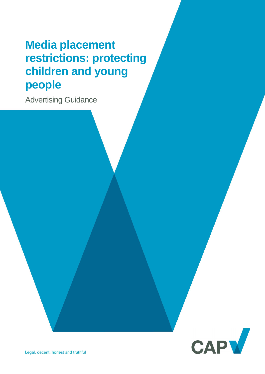# **Media placement restrictions: protecting children and young people**

Advertising Guidance

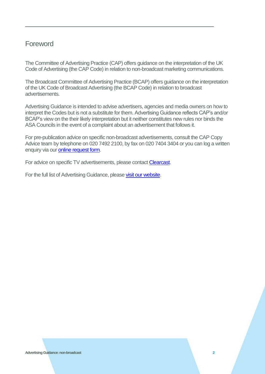### Foreword

The Committee of Advertising Practice (CAP) offers guidance on the interpretation of the UK Code of Advertising (the CAP Code) in relation to non-broadcast marketing communications.

The Broadcast Committee of Advertising Practice (BCAP) offers guidance on the interpretation of the UK Code of Broadcast Advertising (the BCAP Code) in relation to broadcast advertisements.

Advertising Guidance is intended to advise advertisers, agencies and media owners on how to interpret the Codes but is not a substitute for them. Advertising Guidance reflects CAP's and/or BCAP's view on the their likely interpretation but it neither constitutes new rules nor binds the ASA Councils in the event of a complaint about an advertisement that follows it.

For pre-publication advice on specific non-broadcast advertisements, consult the CAP Copy Advice team by telephone on 020 7492 2100, by fax on 020 7404 3404 or you can log a written enquiry via our **online request form.** 

For advice on specific TV advertisements, please contact [Clearcast.](http://www.clearcast.co.uk/)

For the full list of Advertising Guidance, pleas[e visit our website.](https://www.asa.org.uk/advice-and-resources/resource-library.html)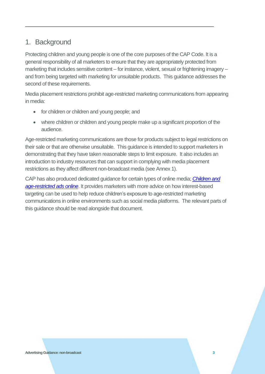## 1. Background

Protecting children and young people is one of the core purposes of the CAP Code. It is a general responsibility of all marketers to ensure that they are appropriately protected from marketing that includes sensitive content – for instance, violent, sexual or frightening imagery – and from being targeted with marketing for unsuitable products. This guidance addresses the second of these requirements.

Media placement restrictions prohibit age-restricted marketing communications from appearing in media:

- for children or children and young people; and
- where children or children and young people make up a significant proportion of the audience.

Age-restricted marketing communications are those for products subject to legal restrictions on their sale or that are otherwise unsuitable. This guidance is intended to support marketers in demonstrating that they have taken reasonable steps to limit exposure. It also includes an introduction to industry resources that can support in complying with media placement restrictions as they affect different non-broadcast media (see Annex 1).

CAP has also produced dedicated guidance for certain types of online media; *[Children and](https://www.asa.org.uk/asset/F0AB1553-1212-4106-8C6E6C0047FEBEBA/)  [age-restricted ads online](https://www.asa.org.uk/asset/F0AB1553-1212-4106-8C6E6C0047FEBEBA/)*. It provides marketers with more advice on how interest-based targeting can be used to help reduce children's exposure to age-restricted marketing communications in online environments such as social media platforms. The relevant parts of this guidance should be read alongside that document.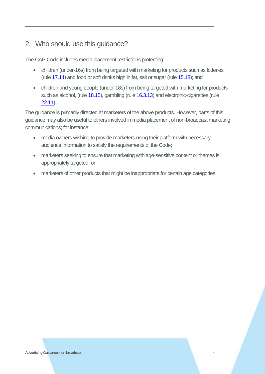# 2. Who should use this guidance?

The CAP Code includes media placement restrictions protecting:

- children (under-16s) from being targeted with marketing for products such as lotteries (rule [17.14\)](https://www.asa.org.uk/type/non_broadcast/code_section/17.html) and food or soft drinks high in fat, salt or sugar (rule [15.18\)](https://www.asa.org.uk/type/non_broadcast/code_section/15.html); and
- children and young people (under-18s) from being targeted with marketing for products such as alcohol, (rule [18.15\)](https://www.asa.org.uk/type/non_broadcast/code_section/18.html), gambling (rul[e 16.3.13\)](https://www.asa.org.uk/type/non_broadcast/code_section/16.html) and electronic-cigarettes (rule [22.11\)](https://www.asa.org.uk/type/non_broadcast/code_section/22.html).

The guidance is primarily directed at marketers of the above products. However, parts of this guidance may also be useful to others involved in media placement of non-broadcast marketing communications; for instance:

- media owners wishing to provide marketers using their platform with necessary audience information to satisfy the requirements of the Code;
- marketers seeking to ensure that marketing with age-sensitive content or themes is appropriately targeted; or
- marketers of other products that might be inappropriate for certain age categories.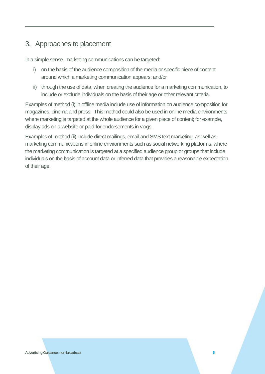# 3. Approaches to placement

In a simple sense, marketing communications can be targeted:

- i) on the basis of the audience composition of the media or specific piece of content around which a marketing communication appears; and/or
- ii) through the use of data, when creating the audience for a marketing communication, to include or exclude individuals on the basis of their age or other relevant criteria.

Examples of method (i) in offline media include use of information on audience composition for magazines, cinema and press. This method could also be used in online media environments where marketing is targeted at the whole audience for a given piece of content; for example, display ads on a website or paid-for endorsements in vlogs.

Examples of method (ii) include direct mailings, email and SMS text marketing, as well as marketing communications in online environments such as social networking platforms, where the marketing communication is targeted at a specified audience group or groups that include individuals on the basis of account data or inferred data that provides a reasonable expectation of their age.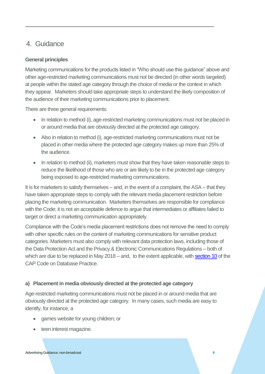## 4. Guidance

#### **General principles**

Marketing communications for the products listed in "Who should use this guidance" above and other age-restricted marketing communications must not be directed (in other words targeted) at people within the stated age category through the choice of media or the context in which they appear. Marketers should take appropriate steps to understand the likely composition of the audience of their marketing communications prior to placement.

There are three general requirements:

- In relation to method (i), age-restricted marketing communications must not be placed in or around media that are obviously directed at the protected age category.
- Also in relation to method (i), age-restricted marketing communications must not be placed in other media where the protected age category makes up more than 25% of the audience.
- In relation to method (ii), marketers must show that they have taken reasonable steps to reduce the likelihood of those who are or are likely to be in the protected age category being exposed to age-restricted marketing communications.

It is for marketers to satisfy themselves – and, in the event of a complaint, the ASA – that they have taken appropriate steps to comply with the relevant media placement restriction before placing the marketing communication. Marketers themselves are responsible for compliance with the Code; it is not an acceptable defence to argue that intermediates or affiliates failed to target or direct a marketing communication appropriately.

Compliance with the Code's media placement restrictions does not remove the need to comply with other specific rules on the content of marketing communications for sensitive product categories. Marketers must also comply with relevant data protection laws, including those of the Data Protection Act and the Privacy & Electronic Communications Regulations – both of which are due to be replaced in May 2018 – and, to the extent applicable, wit[h section 10](https://www.asa.org.uk/type/non_broadcast/code_section/10.html) of the CAP Code on Database Practice.

#### **a) Placement in media obviously directed at the protected age category**

Age-restricted marketing communications must not be placed in or around media that are obviously directed at the protected age category. In many cases, such media are easy to identify, for instance, a

- games website for young children; or
- teen interest magazine.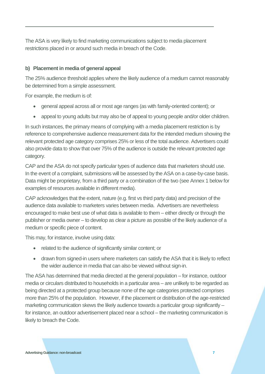The ASA is very likely to find marketing communications subject to media placement restrictions placed in or around such media in breach of the Code.

#### **b) Placement in media of general appeal**

The 25% audience threshold applies where the likely audience of a medium cannot reasonably be determined from a simple assessment.

For example, the medium is of:

- general appeal across all or most age ranges (as with family-oriented content); or
- appeal to young adults but may also be of appeal to young people and/or older children.

In such instances, the primary means of complying with a media placement restriction is by reference to comprehensive audience measurement data for the intended medium showing the relevant protected age category comprises 25% or less of the total audience. Advertisers could also provide data to show that over 75% of the audience is outside the relevant protected age category.

CAP and the ASA do not specify particular types of audience data that marketers should use. In the event of a complaint, submissions will be assessed by the ASA on a case-by-case basis. Data might be proprietary, from a third party or a combination of the two (see Annex 1 below for examples of resources available in different media).

CAP acknowledges that the extent, nature (e.g. first vs third party data) and precision of the audience data available to marketers varies between media. Advertisers are nevertheless encouraged to make best use of what data is available to them – either directly or through the publisher or media owner – to develop as clear a picture as possible of the likely audience of a medium or specific piece of content.

This may, for instance, involve using data:

- related to the audience of significantly similar content; or
- drawn from signed-in users where marketers can satisfy the ASA that it is likely to reflect the wider audience in media that can also be viewed without sign-in.

The ASA has determined that media directed at the general population – for instance, outdoor media or circulars distributed to households in a particular area – are unlikely to be regarded as being directed at a protected group because none of the age categories protected comprises more than 25% of the population. However, if the placement or distribution of the age-restricted marketing communication skews the likely audience towards a particular group significantly – for instance, an outdoor advertisement placed near a school – the marketing communication is likely to breach the Code.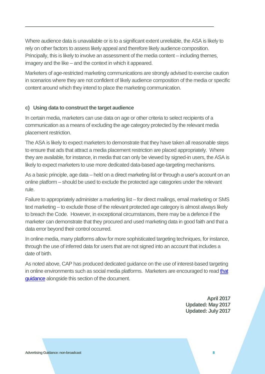Where audience data is unavailable or is to a significant extent unreliable, the ASA is likely to rely on other factors to assess likely appeal and therefore likely audience composition. Principally, this is likely to involve an assessment of the media content – including themes, imagery and the like – and the context in which it appeared.

Marketers of age-restricted marketing communications are strongly advised to exercise caution in scenarios where they are not confident of likely audience composition of the media or specific content around which they intend to place the marketing communication.

#### **c) Using data to construct the target audience**

In certain media, marketers can use data on age or other criteria to select recipients of a communication as a means of excluding the age category protected by the relevant media placement restriction.

The ASA is likely to expect marketers to demonstrate that they have taken all reasonable steps to ensure that ads that attract a media placement restriction are placed appropriately. Where they are available, for instance, in media that can only be viewed by signed-in users, the ASA is likely to expect marketers to use more dedicated data-based age-targeting mechanisms.

As a basic principle, age data – held on a direct marketing list or through a user's account on an online platform – should be used to exclude the protected age categories under the relevant rule.

Failure to appropriately administer a marketing list – for direct mailings, email marketing or SMS text marketing – to exclude those of the relevant protected age category is almost always likely to breach the Code. However, in exceptional circumstances, there may be a defence if the marketer can demonstrate that they procured and used marketing data in good faith and that a data error beyond their control occurred.

In online media, many platforms allow for more sophisticated targeting techniques, for instance, through the use of inferred data for users that are not signed into an account that includes a date of birth.

As noted above, CAP has produced dedicated guidance on the use of interest-based targeting in online environments such as social media platforms. Marketers are encouraged to read that [guidance](https://www.asa.org.uk/asset/F0AB1553-1212-4106-8C6E6C0047FEBEBA/) alongside this section of the document.

> **April 2017 Updated: May 2017 Updated: July 2017**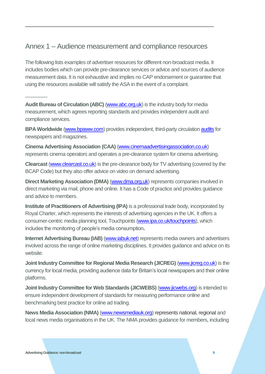## Annex 1 – Audience measurement and compliance resources

The following lists examples of advertiser resources for different non-broadcast media. It includes bodies which can provide pre-clearance services or advice and sources of audience measurement data. It is not exhaustive and implies no CAP endorsement or guarantee that using the resources available will satisfy the ASA in the event of a complaint.

**Audit Bureau of Circulation (ABC)** [\(www.abc.org.uk\)](http://www.abc.org.uk/) is the industry body for media measurement, which agrees reporting standards and provides independent audit and compliance services.

**BPA Worldwide** [\(www.bpaww.com\)](http://www.bpaww.com/) provides independent, third-party circulatio[n audits](http://www.bpaww.com/bpaww/#?targeturl=/bpaww/Content/MainContent/Solutions/MediaAuditServices.htm&target=2&languageid=1&homepage=/BPAWW/Content/MainContent/Home/index.html&footerpage=/BPAWW/content/maincontent/footer/english.htm) for newspapers and magazines.

**Cinema Advertising Association (CAA)** [\(www.cinemaadvertisingassociation.co.uk\)](http://www.cinemaadvertisingassociation.co.uk/) represents cinema operators and operates a pre-clearance system for cinema advertising.

**Clearcast** [\(www.clearcast.co.uk\)](http://www.clearcast.co.uk/) is the pre-clearance body for TV advertising (covered by the BCAP Code) but they also offer advice on video on demand advertising.

**Direct Marketing Association (DMA) [\(www.dma.org.uk\)](http://www.dma.org.uk/) represents companies involved in** direct marketing via mail, phone and online. It has a Code of practice and provides guidance and advice to members.

**Institute of Practitioners of Advertising (IPA)** is a professional trade body, incorporated by Royal Charter, which represents the interests of advertising agencies in the UK. It offers a consumer-centric media planning tool, Touchpoints [\(www.ipa.co.uk/touchpoints\)](http://www.ipa.co.uk/touchpoints), which includes the monitoring of people's media consumption**.** 

**Internet Advertising Bureau (IAB)** [\(www.iabuk.net\)](http://www.iabuk.net/) represents media owners and advertisers involved across the range of online marketing disciplines. It provides guidance and advice on its website.

**Joint Industry Committee for Regional Media Research (JICREG)** [\(www.jicreg.co.uk\)](http://www.jicreg.co.uk/) is the currency for local media, providing audience data for Britain's local newspapers and their online platforms.

**Joint Industry Committee for Web Standards (JICWEBS)** [\(www.jicwebs.org\)](http://www.jicwebs.org/) is intended to ensure independent development of standards for measuring performance online and benchmarking best practice for online ad trading.

**News Media Association (NMA)** [\(www.newsmediauk.org\)](http://www.newsmediauk.org/) represents national, regional and local news media organisations in the UK. The NMA provides guidance for members, including

 $\overline{\phantom{a}}$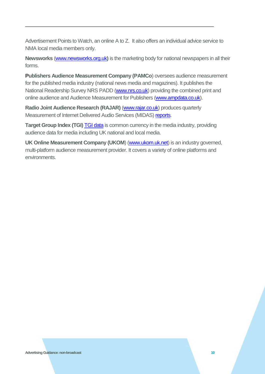Advertisement Points to Watch, an online A to Z. It also offers an individual advice service to NMA local media members only.

**Newsworks** [\(www.newsworks.org.uk](file:///C:/Users/AndrewT/AppData/Roaming/Microsoft/Word/www.newsworks.org.uk)**)** is the marketing body for national newspapers in all their forms.

**Publishers Audience Measurement Company (PAMCo**) oversees audience measurement for the published media industry (national news media and magazines). It publishes the National Readership Survey NRS PADD [\(www.nrs.co.uk\)](http://www.nrs.co.uk/) providing the combined print and online audience and Audience Measurement for Publishers [\(www.ampdata.co.uk\)](http://www.ampdata.co.uk/).

**Radio Joint Audience Research (RAJAR)** [\(www.rajar.co.uk\)](http://www.rajar.co.uk/) produces quarterly Measurement of Internet Delivered Audio Services (MIDAS) [reports.](http://www.rajar.co.uk/content.php?page=recent_developments)

**Target Group Index (TGI) [TGI data](http://www.kantarmedia.com/uk/our-solutions/consumer-and-audience-targeting) is common currency in the media industry, providing** audience data for media including UK national and local media.

**UK Online Measurement Company (UKOM**) [\(www.ukom.uk.net\)](http://www.ukom.uk.net/) is an industry governed, multi-platform audience measurement provider. It covers a variety of online platforms and environments.